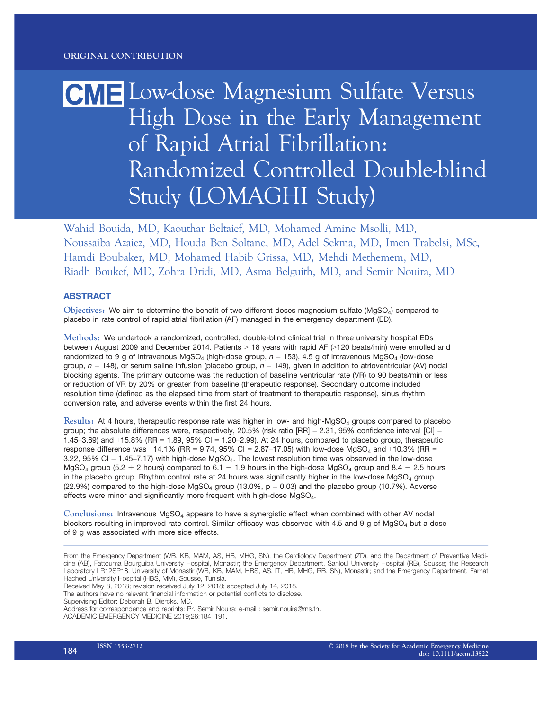# CME Low-dose Magnesium Sulfate Versus High Dose in the Early Management of Rapid Atrial Fibrillation: Randomized Controlled Double-blind Study (LOMAGHI Study)

Wahid Bouida, MD, Kaouthar Beltaief, MD, Mohamed Amine Msolli, MD, Noussaiba Azaiez, MD, Houda Ben Soltane, MD, Adel Sekma, MD, Imen Trabelsi, MSc, Hamdi Boubaker, MD, Mohamed Habib Grissa, MD, Mehdi Methemem, MD, Riadh Boukef, MD, Zohra Dridi, MD, Asma Belguith, MD, and Semir Nouira, MD

## ABSTRACT

Objectives: We aim to determine the benefit of two different doses magnesium sulfate ( $MgSO<sub>4</sub>$ ) compared to placebo in rate control of rapid atrial fibrillation (AF) managed in the emergency department (ED).

Methods: We undertook a randomized, controlled, double-blind clinical trial in three university hospital EDs between August 2009 and December 2014. Patients > 18 years with rapid AF (>120 beats/min) were enrolled and randomized to 9 g of intravenous  $MgSO_4$  (high-dose group,  $n = 153$ ), 4.5 g of intravenous  $MgSO_4$  (low-dose group,  $n = 148$ ), or serum saline infusion (placebo group,  $n = 149$ ), given in addition to atrioventricular (AV) nodal blocking agents. The primary outcome was the reduction of baseline ventricular rate (VR) to 90 beats/min or less or reduction of VR by 20% or greater from baseline (therapeutic response). Secondary outcome included resolution time (defined as the elapsed time from start of treatment to therapeutic response), sinus rhythm conversion rate, and adverse events within the first 24 hours.

Results: At 4 hours, therapeutic response rate was higher in low- and high-MgSO<sub>4</sub> groups compared to placebo group; the absolute differences were, respectively, 20.5% (risk ratio  $[RR] = 2.31$ , 95% confidence interval  $[CI] =$ 1.45–3.69) and  $+15.8\%$  (RR = 1.89, 95% CI = 1.20–2.99). At 24 hours, compared to placebo group, therapeutic response difference was +14.1% (RR = 9.74, 95% CI = 2.87-17.05) with low-dose MgSO<sub>4</sub> and +10.3% (RR = 3.22, 95% CI = 1.45–7.17) with high-dose MgSO4. The lowest resolution time was observed in the low-dose MgSO<sub>4</sub> group (5.2  $\pm$  2 hours) compared to 6.1  $\pm$  1.9 hours in the high-dose MgSO<sub>4</sub> group and 8.4  $\pm$  2.5 hours in the placebo group. Rhythm control rate at 24 hours was significantly higher in the low-dose  $MgSO_4$  group (22.9%) compared to the high-dose MgSO<sub>4</sub> group (13.0%,  $p = 0.03$ ) and the placebo group (10.7%). Adverse effects were minor and significantly more frequent with high-dose  $MgSO<sub>4</sub>$ .

Conclusions: Intravenous MgSO4 appears to have a synergistic effect when combined with other AV nodal blockers resulting in improved rate control. Similar efficacy was observed with 4.5 and 9 g of MgSO<sub>4</sub> but a dose of 9 g was associated with more side effects.

From the Emergency Department (WB, KB, MAM, AS, HB, MHG, SN), the Cardiology Department (ZD), and the Department of Preventive Medicine (AB), Fattouma Bourguiba University Hospital, Monastir; the Emergency Department, Sahloul University Hospital (RB), Sousse; the Research Laboratory LR12SP18, University of Monastir (WB, KB, MAM, HBS, AS, IT, HB, MHG, RB, SN), Monastir; and the Emergency Department, Farhat Hached University Hospital (HBS, MM), Sousse, Tunisia.

Received May 8, 2018; revision received July 12, 2018; accepted July 14, 2018.

The authors have no relevant financial information or potential conflicts to disclose.

Supervising Editor: Deborah B. Diercks, MD.

Address for correspondence and reprints: Pr. Semir Nouira; e-mail : semir.nouira@rns.tn.

ACADEMIC EMERGENCY MEDICINE 2019;26:184–191.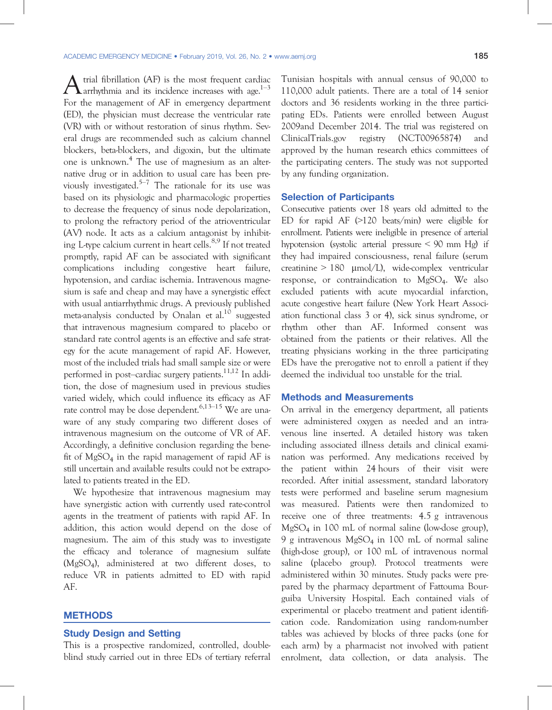A trial fibrillation (AF) is the most frequent cardiac<br>arrhythmia and its incidence increases with age.<sup>1–3</sup> For the management of AF in emergency department (ED), the physician must decrease the ventricular rate (VR) with or without restoration of sinus rhythm. Several drugs are recommended such as calcium channel blockers, beta-blockers, and digoxin, but the ultimate one is unknown.<sup>4</sup> The use of magnesium as an alternative drug or in addition to usual care has been previously investigated.<sup>5–7</sup> The rationale for its use was based on its physiologic and pharmacologic properties to decrease the frequency of sinus node depolarization, to prolong the refractory period of the atrioventricular (AV) node. It acts as a calcium antagonist by inhibiting L-type calcium current in heart cells.<sup>8,9</sup> If not treated promptly, rapid AF can be associated with significant complications including congestive heart failure, hypotension, and cardiac ischemia. Intravenous magnesium is safe and cheap and may have a synergistic effect with usual antiarrhythmic drugs. A previously published meta-analysis conducted by Onalan et al.<sup>10</sup> suggested that intravenous magnesium compared to placebo or standard rate control agents is an effective and safe strategy for the acute management of rapid AF. However, most of the included trials had small sample size or were performed in post–cardiac surgery patients.<sup>11,12</sup> In addition, the dose of magnesium used in previous studies varied widely, which could influence its efficacy as AF rate control may be dose dependent.  $6,13-15$  We are unaware of any study comparing two different doses of intravenous magnesium on the outcome of VR of AF. Accordingly, a definitive conclusion regarding the benefit of  $MgSO_4$  in the rapid management of rapid AF is still uncertain and available results could not be extrapolated to patients treated in the ED.

We hypothesize that intravenous magnesium may have synergistic action with currently used rate-control agents in the treatment of patients with rapid AF. In addition, this action would depend on the dose of magnesium. The aim of this study was to investigate the efficacy and tolerance of magnesium sulfate (MgSO4), administered at two different doses, to reduce VR in patients admitted to ED with rapid AF.

#### **METHODS**

## Study Design and Setting

This is a prospective randomized, controlled, doubleblind study carried out in three EDs of tertiary referral Tunisian hospitals with annual census of 90,000 to 110,000 adult patients. There are a total of 14 senior doctors and 36 residents working in the three participating EDs. Patients were enrolled between August 2009and December 2014. The trial was registered on ClinicalTrials.gov registry (NCT00965874) and approved by the human research ethics committees of the participating centers. The study was not supported by any funding organization.

#### Selection of Participants

Consecutive patients over 18 years old admitted to the ED for rapid AF (>120 beats/min) were eligible for enrollment. Patients were ineligible in presence of arterial hypotension (systolic arterial pressure < 90 mm Hg) if they had impaired consciousness, renal failure (serum creatinine  $> 180 \, \mu$ mol/L), wide-complex ventricular response, or contraindication to MgSO4. We also excluded patients with acute myocardial infarction, acute congestive heart failure (New York Heart Association functional class 3 or 4), sick sinus syndrome, or rhythm other than AF. Informed consent was obtained from the patients or their relatives. All the treating physicians working in the three participating EDs have the prerogative not to enroll a patient if they deemed the individual too unstable for the trial.

## Methods and Measurements

On arrival in the emergency department, all patients were administered oxygen as needed and an intravenous line inserted. A detailed history was taken including associated illness details and clinical examination was performed. Any medications received by the patient within 24 hours of their visit were recorded. After initial assessment, standard laboratory tests were performed and baseline serum magnesium was measured. Patients were then randomized to receive one of three treatments: 4.5 g intravenous MgSO4 in 100 mL of normal saline (low-dose group), 9 g intravenous MgSO4 in 100 mL of normal saline (high-dose group), or 100 mL of intravenous normal saline (placebo group). Protocol treatments were administered within 30 minutes. Study packs were prepared by the pharmacy department of Fattouma Bourguiba University Hospital. Each contained vials of experimental or placebo treatment and patient identification code. Randomization using random-number tables was achieved by blocks of three packs (one for each arm) by a pharmacist not involved with patient enrolment, data collection, or data analysis. The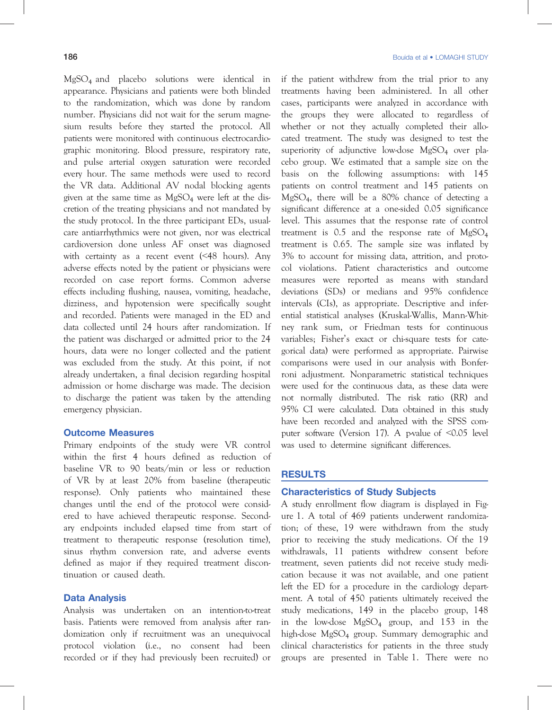MgSO4 and placebo solutions were identical in appearance. Physicians and patients were both blinded to the randomization, which was done by random number. Physicians did not wait for the serum magnesium results before they started the protocol. All patients were monitored with continuous electrocardiographic monitoring. Blood pressure, respiratory rate, and pulse arterial oxygen saturation were recorded every hour. The same methods were used to record the VR data. Additional AV nodal blocking agents given at the same time as  $MgSO_4$  were left at the discretion of the treating physicians and not mandated by the study protocol. In the three participant EDs, usualcare antiarrhythmics were not given, nor was electrical cardioversion done unless AF onset was diagnosed with certainty as a recent event (<48 hours). Any adverse effects noted by the patient or physicians were recorded on case report forms. Common adverse effects including flushing, nausea, vomiting, headache, dizziness, and hypotension were specifically sought and recorded. Patients were managed in the ED and data collected until 24 hours after randomization. If the patient was discharged or admitted prior to the 24 hours, data were no longer collected and the patient was excluded from the study. At this point, if not already undertaken, a final decision regarding hospital admission or home discharge was made. The decision to discharge the patient was taken by the attending emergency physician.

## Outcome Measures

Primary endpoints of the study were VR control within the first 4 hours defined as reduction of baseline VR to 90 beats/min or less or reduction of VR by at least 20% from baseline (therapeutic response). Only patients who maintained these changes until the end of the protocol were considered to have achieved therapeutic response. Secondary endpoints included elapsed time from start of treatment to therapeutic response (resolution time), sinus rhythm conversion rate, and adverse events defined as major if they required treatment discontinuation or caused death.

## Data Analysis

Analysis was undertaken on an intention-to-treat basis. Patients were removed from analysis after randomization only if recruitment was an unequivocal protocol violation (i.e., no consent had been recorded or if they had previously been recruited) or if the patient withdrew from the trial prior to any treatments having been administered. In all other cases, participants were analyzed in accordance with the groups they were allocated to regardless of whether or not they actually completed their allocated treatment. The study was designed to test the superiority of adjunctive low-dose MgSO<sub>4</sub> over placebo group. We estimated that a sample size on the basis on the following assumptions: with 145 patients on control treatment and 145 patients on MgSO4, there will be a 80% chance of detecting a significant difference at a one-sided 0.05 significance level. This assumes that the response rate of control treatment is  $0.5$  and the response rate of MgSO<sub>4</sub> treatment is 0.65. The sample size was inflated by 3% to account for missing data, attrition, and protocol violations. Patient characteristics and outcome measures were reported as means with standard deviations (SDs) or medians and 95% confidence intervals (CIs), as appropriate. Descriptive and inferential statistical analyses (Kruskal-Wallis, Mann-Whitney rank sum, or Friedman tests for continuous variables; Fisher's exact or chi-square tests for categorical data) were performed as appropriate. Pairwise comparisons were used in our analysis with Bonferroni adjustment. Nonparametric statistical techniques were used for the continuous data, as these data were not normally distributed. The risk ratio (RR) and 95% CI were calculated. Data obtained in this study have been recorded and analyzed with the SPSS computer software (Version 17). A p-value of  $\leq 0.05$  level was used to determine significant differences.

## **RESULTS**

## Characteristics of Study Subjects

A study enrollment flow diagram is displayed in Figure 1. A total of 469 patients underwent randomization; of these, 19 were withdrawn from the study prior to receiving the study medications. Of the 19 withdrawals, 11 patients withdrew consent before treatment, seven patients did not receive study medication because it was not available, and one patient left the ED for a procedure in the cardiology department. A total of 450 patients ultimately received the study medications, 149 in the placebo group, 148 in the low-dose  $MgSO_4$  group, and 153 in the high-dose MgSO<sub>4</sub> group. Summary demographic and clinical characteristics for patients in the three study groups are presented in Table 1. There were no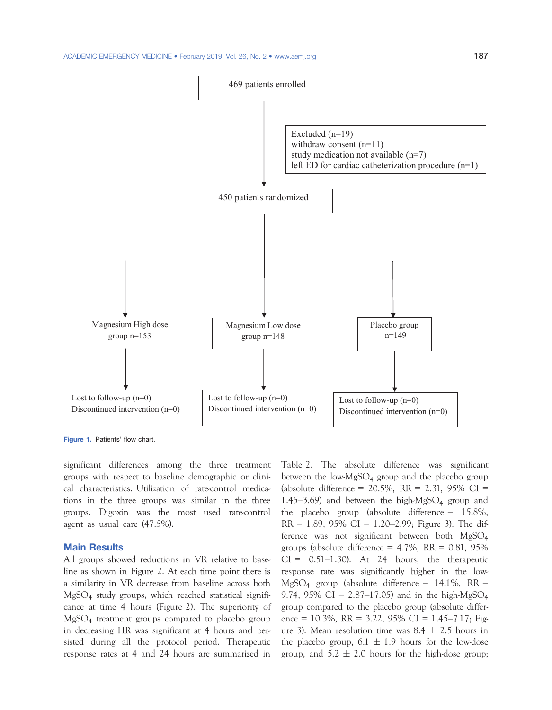

Figure 1. Patients' flow chart.

significant differences among the three treatment groups with respect to baseline demographic or clinical characteristics. Utilization of rate-control medications in the three groups was similar in the three groups. Digoxin was the most used rate-control agent as usual care (47.5%).

## Main Results

All groups showed reductions in VR relative to baseline as shown in Figure 2. At each time point there is a similarity in VR decrease from baseline across both MgSO4 study groups, which reached statistical significance at time 4 hours (Figure 2). The superiority of MgSO4 treatment groups compared to placebo group in decreasing HR was significant at 4 hours and persisted during all the protocol period. Therapeutic response rates at 4 and 24 hours are summarized in

Table 2. The absolute difference was significant between the low- $MgSO_4$  group and the placebo group (absolute difference = 20.5%,  $RR = 2.31$ , 95% CI = 1.45–3.69) and between the high- $MgSO<sub>4</sub>$  group and the placebo group (absolute difference  $= 15.8\%$ ,  $RR = 1.89, 95\% \text{ CI} = 1.20{\text -}2.99; \text{ Figure 3}.$  The difference was not significant between both MgSO4 groups (absolute difference  $= 4.7\%$ , RR  $= 0.81, 95\%$  $CI = 0.51 - 1.30$ . At 24 hours, the therapeutic response rate was significantly higher in the low- $MgSO<sub>4</sub>$  group (absolute difference = 14.1%, RR = 9.74, 95% CI = 2.87–17.05) and in the high-MgSO<sub>4</sub> group compared to the placebo group (absolute difference = 10.3%, RR = 3.22, 95% CI = 1.45–7.17; Figure 3). Mean resolution time was  $8.4 \pm 2.5$  hours in the placebo group,  $6.1 \pm 1.9$  hours for the low-dose group, and  $5.2 \pm 2.0$  hours for the high-dose group;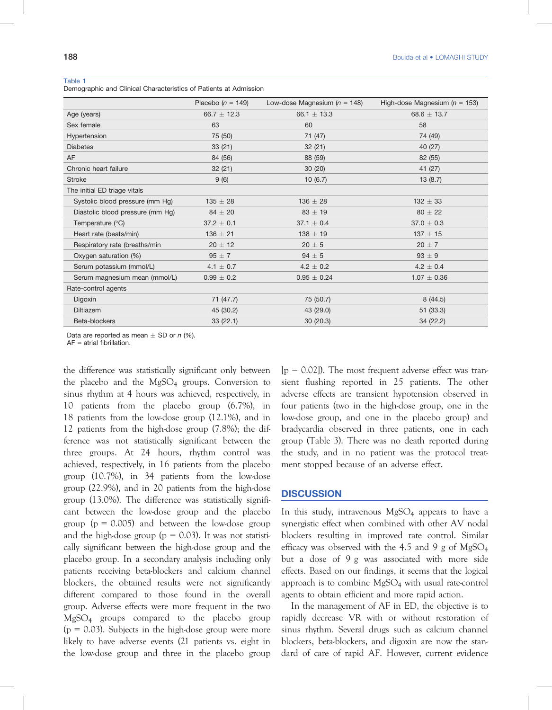#### Table 1

Demographic and Clinical Characteristics of Patients at Admission

|                                  | Placebo ( $n = 149$ ) | Low-dose Magnesium ( $n = 148$ ) | High-dose Magnesium ( $n = 153$ ) |
|----------------------------------|-----------------------|----------------------------------|-----------------------------------|
| Age (years)                      | 66.7 $\pm$ 12.3       | 66.1 $\pm$ 13.3                  | $68.6 \pm 13.7$                   |
| Sex female                       | 63                    | 60                               | 58                                |
| Hypertension                     | 75 (50)               | 71 (47)                          | 74 (49)                           |
| <b>Diabetes</b>                  | 33(21)                | 32(21)                           | 40 (27)                           |
| <b>AF</b>                        | 84 (56)               | 88 (59)                          | 82 (55)                           |
| Chronic heart failure            | 32(21)                | 30(20)                           | 41(27)                            |
| <b>Stroke</b>                    | 9(6)                  | 10(6.7)                          | 13(8.7)                           |
| The initial ED triage vitals     |                       |                                  |                                   |
| Systolic blood pressure (mm Hg)  | $135 \pm 28$          | $136 \pm 28$                     | $132 \pm 33$                      |
| Diastolic blood pressure (mm Hg) | $84 \pm 20$           | $83 \pm 19$                      | $80 \pm 22$                       |
| Temperature (°C)                 | $37.2 \pm 0.1$        | $37.1 \pm 0.4$                   | $37.0 \pm 0.3$                    |
| Heart rate (beats/min)           | $136 \pm 21$          | $138 \pm 19$                     | $137 \pm 15$                      |
| Respiratory rate (breaths/min    | $20 \pm 12$           | $20 \pm 5$                       | $20 \pm 7$                        |
| Oxygen saturation (%)            | $95 \pm 7$            | $94 \pm 5$                       | $93 \pm 9$                        |
| Serum potassium (mmol/L)         | $4.1 \pm 0.7$         | $4.2 \pm 0.2$                    | $4.2 \pm 0.4$                     |
| Serum magnesium mean (mmol/L)    | $0.99 \pm 0.2$        | $0.95 \pm 0.24$                  | $1.07 \pm 0.36$                   |
| Rate-control agents              |                       |                                  |                                   |
| Digoxin                          | 71 (47.7)             | 75 (50.7)                        | 8(44.5)                           |
| <b>Diltiazem</b>                 | 45 (30.2)             | 43 (29.0)                        | 51(33.3)                          |
| Beta-blockers                    | 33(22.1)              | 30(20.3)                         | 34 (22.2)                         |

Data are reported as mean  $\pm$  SD or n (%).

 $AF =$  atrial fibrillation.

the difference was statistically significant only between the placebo and the  $MgSO<sub>4</sub>$  groups. Conversion to sinus rhythm at 4 hours was achieved, respectively, in 10 patients from the placebo group (6.7%), in 18 patients from the low-dose group (12.1%), and in 12 patients from the high-dose group (7.8%); the difference was not statistically significant between the three groups. At 24 hours, rhythm control was achieved, respectively, in 16 patients from the placebo group (10.7%), in 34 patients from the low-dose group (22.9%), and in 20 patients from the high-dose group (13.0%). The difference was statistically significant between the low-dose group and the placebo group ( $p = 0.005$ ) and between the low-dose group and the high-dose group ( $p = 0.03$ ). It was not statistically significant between the high-dose group and the placebo group. In a secondary analysis including only patients receiving beta-blockers and calcium channel blockers, the obtained results were not significantly different compared to those found in the overall group. Adverse effects were more frequent in the two MgSO4 groups compared to the placebo group  $(p = 0.03)$ . Subjects in the high-dose group were more likely to have adverse events (21 patients vs. eight in the low-dose group and three in the placebo group  $[p = 0.02]$ ). The most frequent adverse effect was transient flushing reported in 25 patients. The other adverse effects are transient hypotension observed in four patients (two in the high-dose group, one in the low-dose group, and one in the placebo group) and bradycardia observed in three patients, one in each group (Table 3). There was no death reported during the study, and in no patient was the protocol treatment stopped because of an adverse effect.

## **DISCUSSION**

In this study, intravenous  $MgSO_4$  appears to have a synergistic effect when combined with other AV nodal blockers resulting in improved rate control. Similar efficacy was observed with the 4.5 and 9 g of  $MgSO<sub>4</sub>$ but a dose of 9 g was associated with more side effects. Based on our findings, it seems that the logical approach is to combine MgSO4 with usual rate-control agents to obtain efficient and more rapid action.

In the management of AF in ED, the objective is to rapidly decrease VR with or without restoration of sinus rhythm. Several drugs such as calcium channel blockers, beta-blockers, and digoxin are now the standard of care of rapid AF. However, current evidence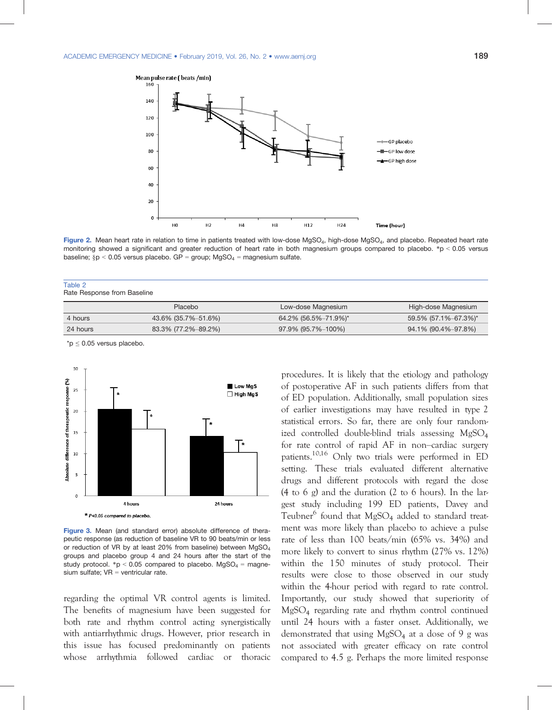

Figure 2. Mean heart rate in relation to time in patients treated with low-dose MgSO<sub>4</sub>, high-dose MgSO<sub>4</sub>, and placebo. Repeated heart rate monitoring showed a significant and greater reduction of heart rate in both magnesium groups compared to placebo. \*p < 0.05 versus baseline;  $$p < 0.05$  versus placebo. GP = group; MgSO<sub>4</sub> = magnesium sulfate.

| Table 2<br>Rate Response from Baseline |                     |                      |                      |  |  |  |
|----------------------------------------|---------------------|----------------------|----------------------|--|--|--|
|                                        | Placebo             | Low-dose Magnesium   | High-dose Magnesium  |  |  |  |
| 4 hours                                | 43.6% (35.7%-51.6%) | 64.2% (56.5%-71.9%)* | 59.5% (57.1%-67.3%)* |  |  |  |
| 24 hours                               | 83.3% (77.2%-89.2%) | 97.9% (95.7%-100%)   | 94.1% (90.4%-97.8%)  |  |  |  |

 $*$ p  $\leq$  0.05 versus placebo.



Figure 3. Mean (and standard error) absolute difference of therapeutic response (as reduction of baseline VR to 90 beats/min or less or reduction of VR by at least 20% from baseline) between MgSO4 groups and placebo group 4 and 24 hours after the start of the study protocol. \*p < 0.05 compared to placebo.  $MgSO<sub>4</sub>$  = magnesium sulfate: VR = ventricular rate.

regarding the optimal VR control agents is limited. The benefits of magnesium have been suggested for both rate and rhythm control acting synergistically with antiarrhythmic drugs. However, prior research in this issue has focused predominantly on patients whose arrhythmia followed cardiac or thoracic procedures. It is likely that the etiology and pathology of postoperative AF in such patients differs from that of ED population. Additionally, small population sizes of earlier investigations may have resulted in type 2 statistical errors. So far, there are only four randomized controlled double-blind trials assessing MgSO4 for rate control of rapid AF in non–cardiac surgery patients.<sup>10,16</sup> Only two trials were performed in ED setting. These trials evaluated different alternative drugs and different protocols with regard the dose (4 to 6 g) and the duration (2 to 6 hours). In the largest study including 199 ED patients, Davey and Teubner<sup>6</sup> found that  $MgSO_4$  added to standard treatment was more likely than placebo to achieve a pulse rate of less than 100 beats/min (65% vs. 34%) and more likely to convert to sinus rhythm (27% vs. 12%) within the 150 minutes of study protocol. Their results were close to those observed in our study within the 4-hour period with regard to rate control. Importantly, our study showed that superiority of MgSO4 regarding rate and rhythm control continued until 24 hours with a faster onset. Additionally, we demonstrated that using  $MgSO_4$  at a dose of 9 g was not associated with greater efficacy on rate control compared to 4.5 g. Perhaps the more limited response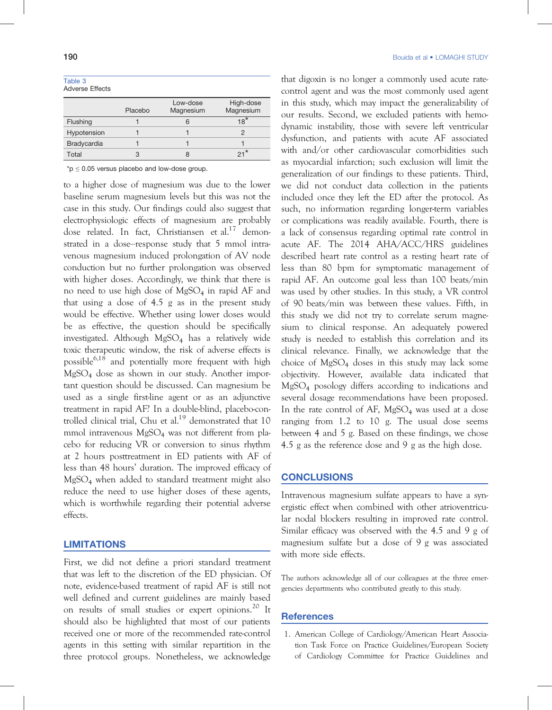Table 3 Adverse Effects

|             | Placebo | Low-dose<br>Magnesium | High-dose<br>Magnesium |
|-------------|---------|-----------------------|------------------------|
| Flushing    |         |                       | $18*$                  |
| Hypotension |         |                       |                        |
| Bradycardia |         |                       |                        |
| Total       |         |                       |                        |

 $*p \leq 0.05$  versus placebo and low-dose group.

to a higher dose of magnesium was due to the lower baseline serum magnesium levels but this was not the case in this study. Our findings could also suggest that electrophysiologic effects of magnesium are probably dose related. In fact, Christiansen et al.<sup>17</sup> demonstrated in a dose–response study that 5 mmol intravenous magnesium induced prolongation of AV node conduction but no further prolongation was observed with higher doses. Accordingly, we think that there is no need to use high dose of MgSO<sub>4</sub> in rapid AF and that using a dose of 4.5 g as in the present study would be effective. Whether using lower doses would be as effective, the question should be specifically investigated. Although  $MgSO_4$  has a relatively wide toxic therapeutic window, the risk of adverse effects is possible $^{6,18}$  and potentially more frequent with high MgSO4 dose as shown in our study. Another important question should be discussed. Can magnesium be used as a single first-line agent or as an adjunctive treatment in rapid AF? In a double-blind, placebo-controlled clinical trial, Chu et al. $19$  demonstrated that 10 mmol intravenous MgSO<sub>4</sub> was not different from placebo for reducing VR or conversion to sinus rhythm at 2 hours posttreatment in ED patients with AF of less than 48 hours' duration. The improved efficacy of MgSO4 when added to standard treatment might also reduce the need to use higher doses of these agents, which is worthwhile regarding their potential adverse effects.

### LIMITATIONS

First, we did not define a priori standard treatment that was left to the discretion of the ED physician. Of note, evidence-based treatment of rapid AF is still not well defined and current guidelines are mainly based on results of small studies or expert opinions.<sup>20</sup> It should also be highlighted that most of our patients received one or more of the recommended rate-control agents in this setting with similar repartition in the three protocol groups. Nonetheless, we acknowledge

that digoxin is no longer a commonly used acute ratecontrol agent and was the most commonly used agent in this study, which may impact the generalizability of our results. Second, we excluded patients with hemodynamic instability, those with severe left ventricular dysfunction, and patients with acute AF associated with and/or other cardiovascular comorbidities such as myocardial infarction; such exclusion will limit the generalization of our findings to these patients. Third, we did not conduct data collection in the patients included once they left the ED after the protocol. As such, no information regarding longer-term variables or complications was readily available. Fourth, there is a lack of consensus regarding optimal rate control in acute AF. The 2014 AHA/ACC/HRS guidelines described heart rate control as a resting heart rate of less than 80 bpm for symptomatic management of rapid AF. An outcome goal less than 100 beats/min was used by other studies. In this study, a VR control of 90 beats/min was between these values. Fifth, in this study we did not try to correlate serum magnesium to clinical response. An adequately powered study is needed to establish this correlation and its clinical relevance. Finally, we acknowledge that the choice of MgSO4 doses in this study may lack some objectivity. However, available data indicated that MgSO4 posology differs according to indications and several dosage recommendations have been proposed. In the rate control of AF,  $MgSO_4$  was used at a dose ranging from 1.2 to 10 g. The usual dose seems between 4 and 5 g. Based on these findings, we chose 4.5 g as the reference dose and 9 g as the high dose.

### **CONCLUSIONS**

Intravenous magnesium sulfate appears to have a synergistic effect when combined with other atrioventricular nodal blockers resulting in improved rate control. Similar efficacy was observed with the 4.5 and 9 g of magnesium sulfate but a dose of 9 g was associated with more side effects.

The authors acknowledge all of our colleagues at the three emergencies departments who contributed greatly to this study.

## **References**

1. American College of Cardiology/American Heart Association Task Force on Practice Guidelines/European Society of Cardiology Committee for Practice Guidelines and